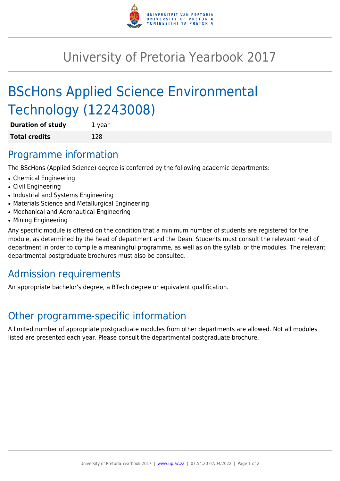

## University of Pretoria Yearbook 2017

# BScHons Applied Science Environmental Technology (12243008)

| <b>Duration of study</b> | 1 year |
|--------------------------|--------|
| <b>Total credits</b>     | 128    |

#### Programme information

The BScHons (Applied Science) degree is conferred by the following academic departments:

- Chemical Engineering
- Civil Engineering
- Industrial and Systems Engineering
- Materials Science and Metallurgical Engineering
- Mechanical and Aeronautical Engineering
- Mining Engineering

Any specific module is offered on the condition that a minimum number of students are registered for the module, as determined by the head of department and the Dean. Students must consult the relevant head of department in order to compile a meaningful programme, as well as on the syllabi of the modules. The relevant departmental postgraduate brochures must also be consulted.

### Admission requirements

An appropriate bachelor's degree, a BTech degree or equivalent qualification.

### Other programme-specific information

A limited number of appropriate postgraduate modules from other departments are allowed. Not all modules listed are presented each year. Please consult the departmental postgraduate brochure.